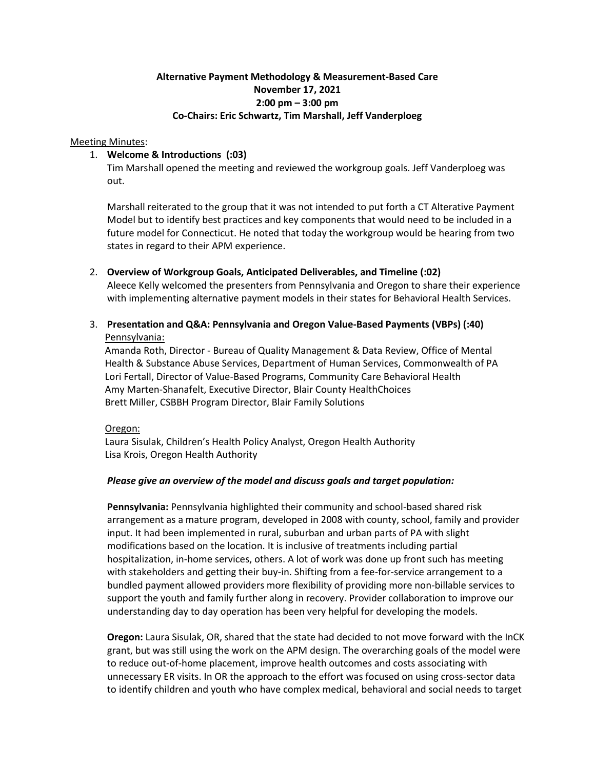# **Alternative Payment Methodology & Measurement-Based Care November 17, 2021 2:00 pm – 3:00 pm Co-Chairs: Eric Schwartz, Tim Marshall, Jeff Vanderploeg**

#### Meeting Minutes:

### 1. **Welcome & Introductions (:03)**

Tim Marshall opened the meeting and reviewed the workgroup goals. Jeff Vanderploeg was out.

Marshall reiterated to the group that it was not intended to put forth a CT Alterative Payment Model but to identify best practices and key components that would need to be included in a future model for Connecticut. He noted that today the workgroup would be hearing from two states in regard to their APM experience.

- 2. **Overview of Workgroup Goals, Anticipated Deliverables, and Timeline (:02)** Aleece Kelly welcomed the presenters from Pennsylvania and Oregon to share their experience with implementing alternative payment models in their states for Behavioral Health Services.
- 3. **Presentation and Q&A: Pennsylvania and Oregon Value-Based Payments (VBPs) (:40)** Pennsylvania:

Amanda Roth, Director - Bureau of Quality Management & Data Review, Office of Mental Health & Substance Abuse Services, Department of Human Services, Commonwealth of PA Lori Fertall, Director of Value-Based Programs, Community Care Behavioral Health Amy Marten-Shanafelt, Executive Director, Blair County HealthChoices Brett Miller, CSBBH Program Director, Blair Family Solutions

### Oregon:

Laura Sisulak, Children's Health Policy Analyst, Oregon Health Authority Lisa Krois, Oregon Health Authority

### *Please give an overview of the model and discuss goals and target population:*

**Pennsylvania:** Pennsylvania highlighted their community and school-based shared risk arrangement as a mature program, developed in 2008 with county, school, family and provider input. It had been implemented in rural, suburban and urban parts of PA with slight modifications based on the location. It is inclusive of treatments including partial hospitalization, in-home services, others. A lot of work was done up front such has meeting with stakeholders and getting their buy-in. Shifting from a fee-for-service arrangement to a bundled payment allowed providers more flexibility of providing more non-billable services to support the youth and family further along in recovery. Provider collaboration to improve our understanding day to day operation has been very helpful for developing the models.

**Oregon:** Laura Sisulak, OR, shared that the state had decided to not move forward with the InCK grant, but was still using the work on the APM design. The overarching goals of the model were to reduce out-of-home placement, improve health outcomes and costs associating with unnecessary ER visits. In OR the approach to the effort was focused on using cross-sector data to identify children and youth who have complex medical, behavioral and social needs to target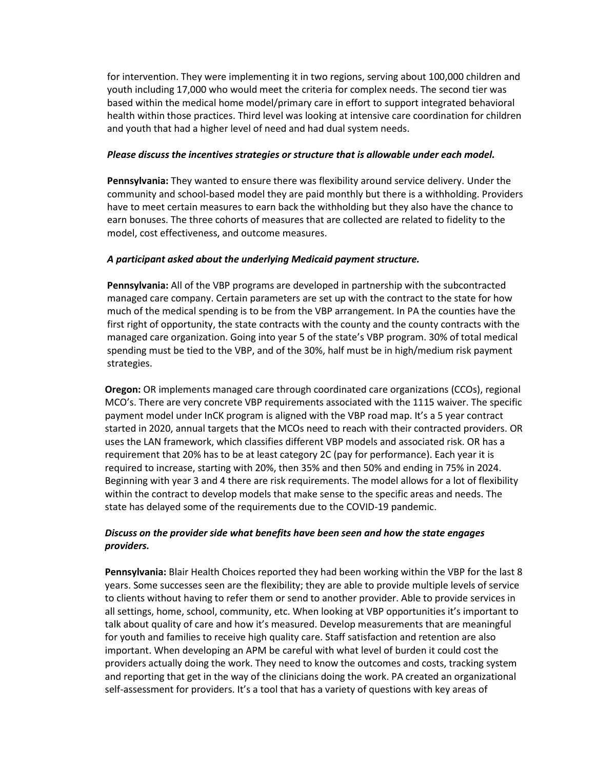for intervention. They were implementing it in two regions, serving about 100,000 children and youth including 17,000 who would meet the criteria for complex needs. The second tier was based within the medical home model/primary care in effort to support integrated behavioral health within those practices. Third level was looking at intensive care coordination for children and youth that had a higher level of need and had dual system needs.

#### *Please discuss the incentives strategies or structure that is allowable under each model.*

**Pennsylvania:** They wanted to ensure there was flexibility around service delivery. Under the community and school-based model they are paid monthly but there is a withholding. Providers have to meet certain measures to earn back the withholding but they also have the chance to earn bonuses. The three cohorts of measures that are collected are related to fidelity to the model, cost effectiveness, and outcome measures.

### *A participant asked about the underlying Medicaid payment structure.*

**Pennsylvania:** All of the VBP programs are developed in partnership with the subcontracted managed care company. Certain parameters are set up with the contract to the state for how much of the medical spending is to be from the VBP arrangement. In PA the counties have the first right of opportunity, the state contracts with the county and the county contracts with the managed care organization. Going into year 5 of the state's VBP program. 30% of total medical spending must be tied to the VBP, and of the 30%, half must be in high/medium risk payment strategies.

**Oregon:** OR implements managed care through coordinated care organizations (CCOs), regional MCO's. There are very concrete VBP requirements associated with the 1115 waiver. The specific payment model under InCK program is aligned with the VBP road map. It's a 5 year contract started in 2020, annual targets that the MCOs need to reach with their contracted providers. OR uses the LAN framework, which classifies different VBP models and associated risk. OR has a requirement that 20% has to be at least category 2C (pay for performance). Each year it is required to increase, starting with 20%, then 35% and then 50% and ending in 75% in 2024. Beginning with year 3 and 4 there are risk requirements. The model allows for a lot of flexibility within the contract to develop models that make sense to the specific areas and needs. The state has delayed some of the requirements due to the COVID-19 pandemic.

## *Discuss on the provider side what benefits have been seen and how the state engages providers.*

**Pennsylvania:** Blair Health Choices reported they had been working within the VBP for the last 8 years. Some successes seen are the flexibility; they are able to provide multiple levels of service to clients without having to refer them or send to another provider. Able to provide services in all settings, home, school, community, etc. When looking at VBP opportunities it's important to talk about quality of care and how it's measured. Develop measurements that are meaningful for youth and families to receive high quality care. Staff satisfaction and retention are also important. When developing an APM be careful with what level of burden it could cost the providers actually doing the work. They need to know the outcomes and costs, tracking system and reporting that get in the way of the clinicians doing the work. PA created an organizational self-assessment for providers. It's a tool that has a variety of questions with key areas of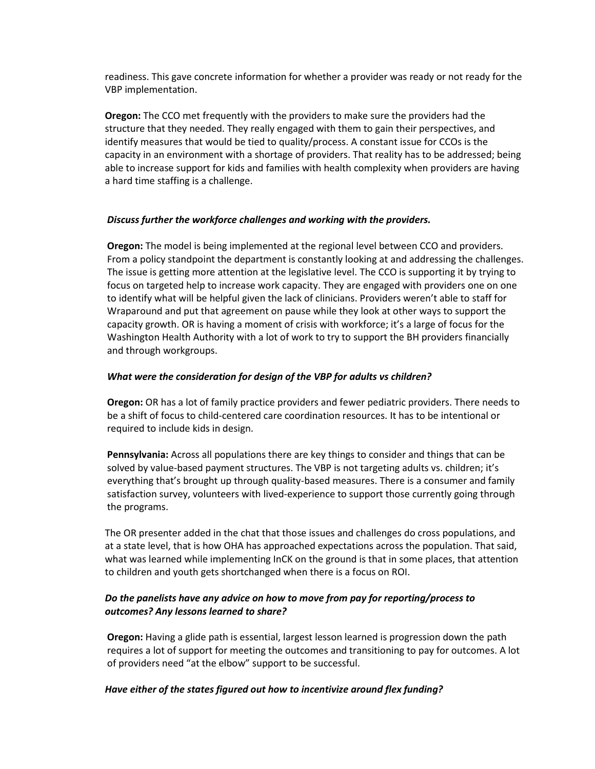readiness. This gave concrete information for whether a provider was ready or not ready for the VBP implementation.

**Oregon:** The CCO met frequently with the providers to make sure the providers had the structure that they needed. They really engaged with them to gain their perspectives, and identify measures that would be tied to quality/process. A constant issue for CCOs is the capacity in an environment with a shortage of providers. That reality has to be addressed; being able to increase support for kids and families with health complexity when providers are having a hard time staffing is a challenge.

#### *Discuss further the workforce challenges and working with the providers.*

**Oregon:** The model is being implemented at the regional level between CCO and providers. From a policy standpoint the department is constantly looking at and addressing the challenges. The issue is getting more attention at the legislative level. The CCO is supporting it by trying to focus on targeted help to increase work capacity. They are engaged with providers one on one to identify what will be helpful given the lack of clinicians. Providers weren't able to staff for Wraparound and put that agreement on pause while they look at other ways to support the capacity growth. OR is having a moment of crisis with workforce; it's a large of focus for the Washington Health Authority with a lot of work to try to support the BH providers financially and through workgroups.

#### *What were the consideration for design of the VBP for adults vs children?*

**Oregon:** OR has a lot of family practice providers and fewer pediatric providers. There needs to be a shift of focus to child-centered care coordination resources. It has to be intentional or required to include kids in design.

**Pennsylvania:** Across all populations there are key things to consider and things that can be solved by value-based payment structures. The VBP is not targeting adults vs. children; it's everything that's brought up through quality-based measures. There is a consumer and family satisfaction survey, volunteers with lived-experience to support those currently going through the programs.

The OR presenter added in the chat that those issues and challenges do cross populations, and at a state level, that is how OHA has approached expectations across the population. That said, what was learned while implementing InCK on the ground is that in some places, that attention to children and youth gets shortchanged when there is a focus on ROI.

## *Do the panelists have any advice on how to move from pay for reporting/process to outcomes? Any lessons learned to share?*

**Oregon:** Having a glide path is essential, largest lesson learned is progression down the path requires a lot of support for meeting the outcomes and transitioning to pay for outcomes. A lot of providers need "at the elbow" support to be successful.

### *Have either of the states figured out how to incentivize around flex funding?*